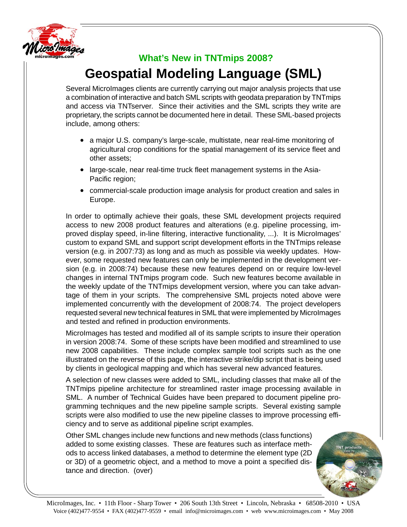

## **What's New in TNTmips 2008?**

## **Geospatial Modeling Language (SML)**

Several MicroImages clients are currently carrying out major analysis projects that use a combination of interactive and batch SML scripts with geodata preparation by TNTmips and access via TNTserver. Since their activities and the SML scripts they write are proprietary, the scripts cannot be documented here in detail. These SML-based projects include, among others:

- a major U.S. company's large-scale, multistate, near real-time monitoring of agricultural crop conditions for the spatial management of its service fleet and other assets;
- large-scale, near real-time truck fleet management systems in the Asia-Pacific region;
- commercial-scale production image analysis for product creation and sales in Europe.

In order to optimally achieve their goals, these SML development projects required access to new 2008 product features and alterations (e.g. pipeline processing, improved display speed, in-line filtering, interactive functionality, ...). It is MicroImages' custom to expand SML and support script development efforts in the TNTmips release version (e.g. in 2007:73) as long and as much as possible via weekly updates. However, some requested new features can only be implemented in the development version (e.g. in 2008:74) because these new features depend on or require low-level changes in internal TNTmips program code. Such new features become available in the weekly update of the TNTmips development version, where you can take advantage of them in your scripts. The comprehensive SML projects noted above were implemented concurrently with the development of 2008:74. The project developers requested several new technical features in SML that were implemented by MicroImages and tested and refined in production environments.

MicroImages has tested and modified all of its sample scripts to insure their operation in version 2008:74. Some of these scripts have been modified and streamlined to use new 2008 capabilities. These include complex sample tool scripts such as the one illustrated on the reverse of this page, the interactive strike/dip script that is being used by clients in geological mapping and which has several new advanced features.

A selection of new classes were added to SML, including classes that make all of the TNTmips pipeline architecture for streamlined raster image processing available in SML. A number of Technical Guides have been prepared to document pipeline programming techniques and the new pipeline sample scripts. Several existing sample scripts were also modified to use the new pipeline classes to improve processing efficiency and to serve as additional pipeline script examples.

Other SML changes include new functions and new methods (class functions) added to some existing classes. These are features such as interface methods to access linked databases, a method to determine the element type (2D or 3D) of a geometric object, and a method to move a point a specified distance and direction. (over)